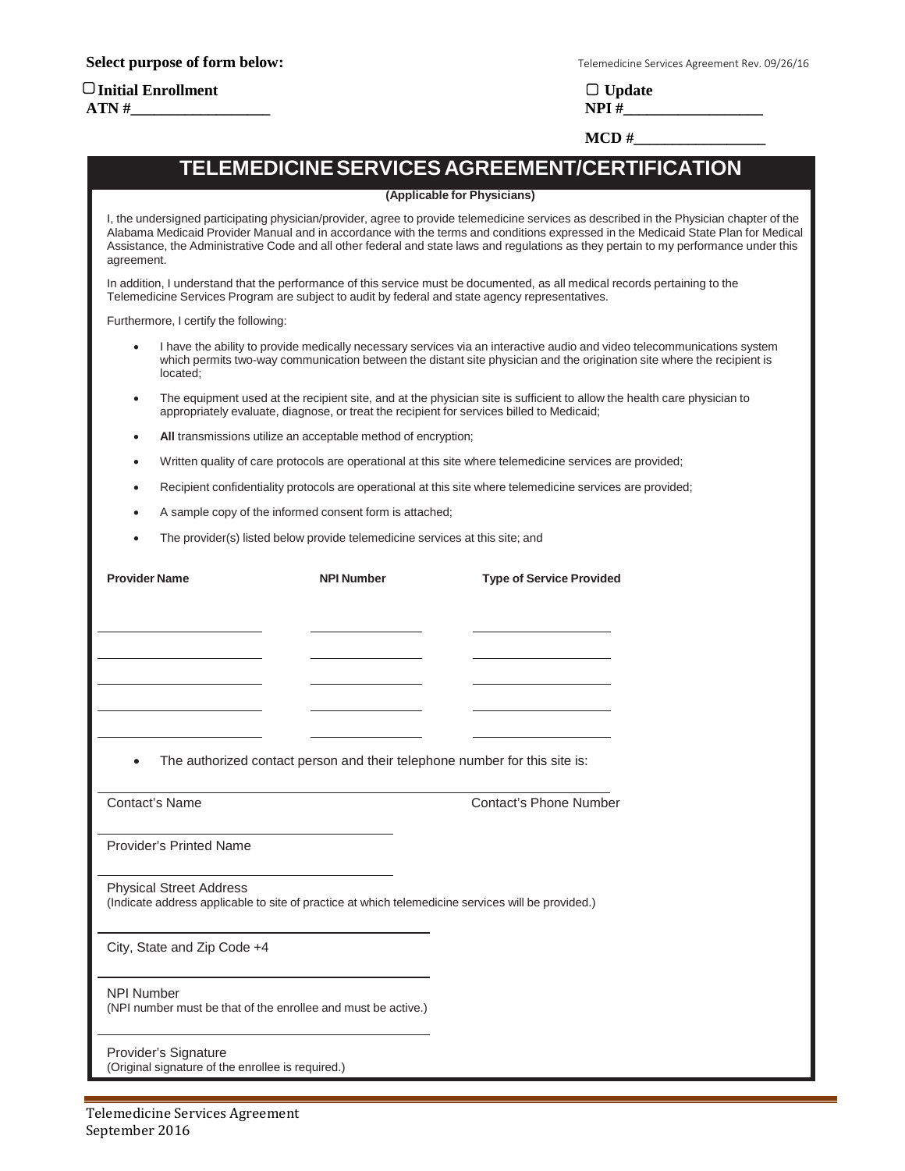# **Initial Enrollment Update**

**Select purpose of form below:** Telemedicine Services Agreement Rev. 09/26/16

**ATN #\_\_\_\_\_\_\_\_\_\_\_\_\_\_\_\_\_\_ NPI #\_\_\_\_\_\_\_\_\_\_\_\_\_\_\_\_\_\_**

**MCD** #

# **TELEMEDICINESERVICES AGREEMENT/CERTIFICATION**

#### **(Applicable for Physicians)**

I, the undersigned participating physician/provider, agree to provide telemedicine services as described in the Physician chapter of the Alabama Medicaid Provider Manual and in accordance with the terms and conditions expressed in the Medicaid State Plan for Medical Assistance, the Administrative Code and all other federal and state laws and regulations as they pertain to my performance under this agreement.

In addition, I understand that the performance of this service must be documented, as all medical records pertaining to the Telemedicine Services Program are subject to audit by federal and state agency representatives.

Furthermore, I certify the following:

- I have the ability to provide medically necessary services via an interactive audio and video telecommunications system which permits two-way communication between the distant site physician and the origination site where the recipient is located;
- The equipment used at the recipient site, and at the physician site is sufficient to allow the health care physician to appropriately evaluate, diagnose, or treat the recipient for services billed to Medicaid;
- **All** transmissions utilize an acceptable method of encryption;
- Written quality of care protocols are operational at this site where telemedicine services are provided;
- Recipient confidentiality protocols are operational at this site where telemedicine services are provided;
- A sample copy of the informed consent form is attached;
- The provider(s) listed below provide telemedicine services at this site; and

|                                                                                    | <b>NPI Number</b>                                                                                  | <b>Type of Service Provided</b> |
|------------------------------------------------------------------------------------|----------------------------------------------------------------------------------------------------|---------------------------------|
|                                                                                    |                                                                                                    |                                 |
|                                                                                    |                                                                                                    |                                 |
|                                                                                    |                                                                                                    |                                 |
|                                                                                    |                                                                                                    |                                 |
|                                                                                    |                                                                                                    |                                 |
|                                                                                    |                                                                                                    |                                 |
| $\bullet$                                                                          | The authorized contact person and their telephone number for this site is:                         |                                 |
| Contact's Name                                                                     |                                                                                                    | Contact's Phone Number          |
|                                                                                    |                                                                                                    |                                 |
| <b>Provider's Printed Name</b>                                                     |                                                                                                    |                                 |
| <b>Physical Street Address</b>                                                     | (Indicate address applicable to site of practice at which telemedicine services will be provided.) |                                 |
| City, State and Zip Code +4                                                        |                                                                                                    |                                 |
| <b>NPI Number</b><br>(NPI number must be that of the enrollee and must be active.) |                                                                                                    |                                 |